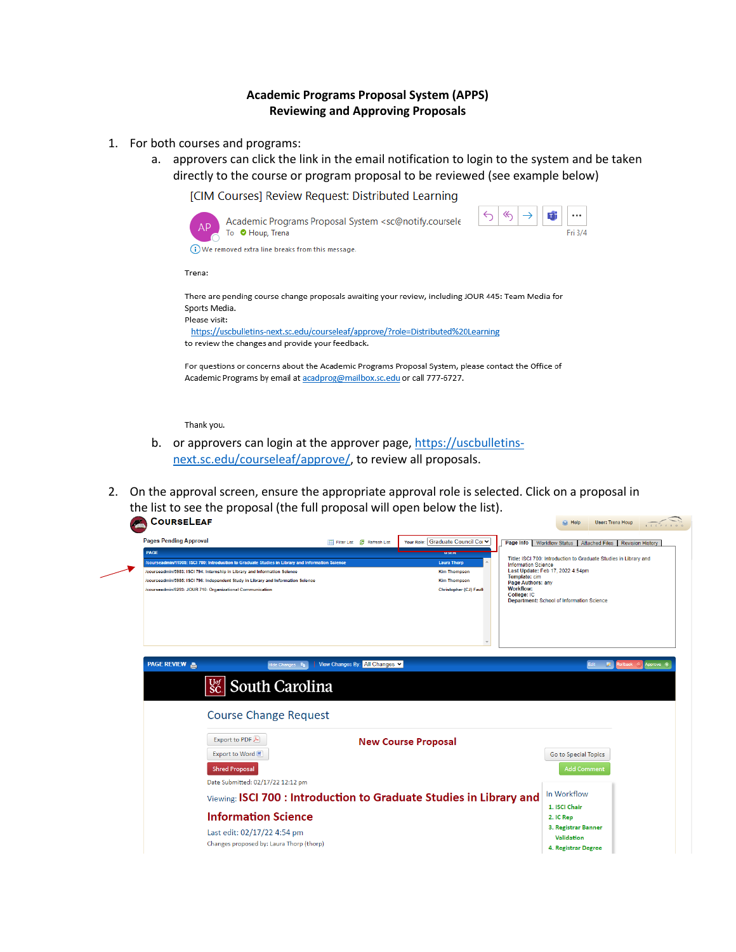## **Academic Programs Proposal System (APPS) Reviewing and Approving Proposals**

- 1. For both courses and programs:
	- a. approvers can click the link in the email notification to login to the system and be taken directly to the course or program proposal to be reviewed (see example below)

[CIM Courses] Review Request: Distributed Learning



For questions or concerns about the Academic Programs Proposal System, please contact the Office of Academic Programs by email at acadprog@mailbox.sc.edu or call 777-6727.

Thank you.

- b. or approvers can login at the approver page, [https://uscbulletins](https://uscbulletins-next.sc.edu/courseleaf/approve/)[next.sc.edu/courseleaf/approve/,](https://uscbulletins-next.sc.edu/courseleaf/approve/) to review all proposals.
- 2. On the approval screen, ensure the appropriate approval role is selected. Click on a proposal in the list to see the proposal (the full proposal will open below the list).

| <b>Pages Pending Approval</b>                                                                    |                                                          | Filter List & Refresh List     | Your Role: Graduate Council Col ↓                                   | Page Info   Workflow Status                                                                    | <b>Attached Files</b>                     | <b>Revision History</b>       |
|--------------------------------------------------------------------------------------------------|----------------------------------------------------------|--------------------------------|---------------------------------------------------------------------|------------------------------------------------------------------------------------------------|-------------------------------------------|-------------------------------|
| PAGE                                                                                             |                                                          |                                | <b>TIMER</b>                                                        |                                                                                                |                                           |                               |
| courseadmin/11905: ISCI 700: Introduction to Graduate Studies in Library and Information Science |                                                          |                                | <b>Laura Thorp</b>                                                  | Title: ISCI 700: Introduction to Graduate Studies in Library and<br><b>Information Science</b> |                                           |                               |
| /courseadmin/5983: ISCI 794: Internship in Library and Information Science                       |                                                          |                                | <b>Kim Thompson</b>                                                 | Last Update: Feb 17, 2022 4:54pm<br>Template: cim                                              |                                           |                               |
| /courseadmin/5985: ISCI 796: Independent Study in Library and Information Science                |                                                          |                                | <b>Kim Thompson</b><br>Christopher (CJ) Faull                       | Page Authors: any<br><b>Workflow:</b>                                                          |                                           |                               |
| /courseadmin/6293: JOUR 710: Organizational Communication                                        |                                                          |                                |                                                                     | College: IC                                                                                    | Department: School of Information Science |                               |
| <b>PAGE REVIEW A</b>                                                                             | lide Changes <b>In Light</b><br><b>Sc</b> South Carolina | View Changes By: All Changes v |                                                                     |                                                                                                |                                           | Rollback (C) Approve (+<br>Ø. |
| <b>Course Change Request</b><br>Export to PDF                                                    |                                                          |                                |                                                                     |                                                                                                |                                           |                               |
|                                                                                                  |                                                          |                                | <b>New Course Proposal</b>                                          |                                                                                                |                                           |                               |
| Export to Word 圖                                                                                 |                                                          |                                |                                                                     |                                                                                                | Go to Special Topics                      |                               |
| <b>Shred Proposal</b>                                                                            |                                                          |                                |                                                                     |                                                                                                | <b>Add Comment</b>                        |                               |
|                                                                                                  | Date Submitted: 02/17/22 12:12 pm                        |                                |                                                                     |                                                                                                |                                           |                               |
|                                                                                                  |                                                          |                                |                                                                     |                                                                                                | In Workflow                               |                               |
|                                                                                                  |                                                          |                                | Viewing: ISCI 700 : Introduction to Graduate Studies in Library and |                                                                                                |                                           |                               |
|                                                                                                  |                                                          |                                |                                                                     |                                                                                                | 1. ISCI Chair                             |                               |
|                                                                                                  | <b>Information Science</b>                               |                                |                                                                     |                                                                                                | 2. IC Rep                                 |                               |
|                                                                                                  | Last edit: 02/17/22 4:54 pm                              |                                |                                                                     |                                                                                                | 3. Registrar Banner<br>Validation         |                               |